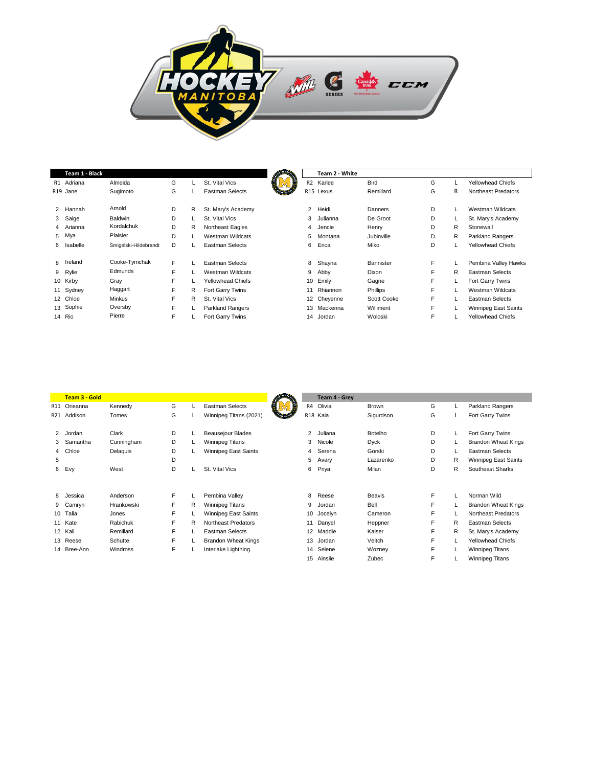

| G<br>G<br>R1 Adriana<br>Almeida<br>St. Vital Vics<br><b>Bird</b><br><b>Yellowhead Chiefs</b><br>Karlee<br>R <sub>2</sub><br>G<br>G<br>R15 Lexus<br>Remillard<br><b>Eastman Selects</b><br>R<br>Sugimoto<br>Northeast Predators<br>R <sub>19</sub> Jane<br><b>Stratt</b><br>Arnold<br>D<br>D<br>$\overline{2}$<br>R<br>2 Hannah<br>St. Mary's Academy<br>Heidi<br><b>Westman Wildcats</b><br>Danners<br>De Groot<br>3 Saige<br>Baldwin<br>D<br>D<br>St. Vital Vics<br>3<br>Julianna<br>St. Mary's Academy<br>Kordalchuk<br>D<br>D<br>4 Arianna<br>R<br>Northeast Eagles<br>R<br>Stonewall<br>Jencie<br>Henry<br>4<br>Plaisier<br>5 Mya<br>D<br>D<br>Westman Wildcats<br>Jubinville<br>R<br>5<br><b>Parkland Rangers</b><br>Montana<br>D<br>D<br><b>Eastman Selects</b><br><b>Yellowhead Chiefs</b><br>6<br>Erica<br>Miko<br>6 Isabelle<br>Smigelski-Hildebrandt<br>Cooke-Tymchak<br>8 Ireland<br>F<br>F<br><b>Eastman Selects</b><br>8<br>Shayna<br>Pembina Valley Hawks<br>Bannister<br>Edmunds<br>F<br>F<br>9 Rylie<br>Westman Wildcats<br>R<br>Eastman Selects<br>9<br>Abby<br>Dixon<br>F<br>F<br>10 Kirby<br>Gray<br><b>Yellowhead Chiefs</b><br>10<br>Emily<br>Gagne<br>Fort Garry Twins<br>Haggart<br>F<br>F<br>11 Sydney<br>R<br>Rhiannon<br>Phillips<br><b>Westman Wildcats</b><br>Fort Garry Twins<br>11<br>F<br>F<br>12 Chloe<br><b>Minkus</b><br>R<br>St. Vital Vics<br><b>Scott Cooke</b><br>12 Cheyenne<br>Eastman Selects<br>13 Sophie<br>Oversby<br>F<br>F<br>Williment<br><b>Parkland Rangers</b><br>Mackenna<br>Winnipeg East Saints<br>13<br>Pierre<br>F<br>F<br>14 Rio<br>Woloski<br>Fort Garry Twins<br><b>Yellowhead Chiefs</b><br>14<br>Jordan | Team 1 - Black |  |  | Team 2 - White |  |  |
|---------------------------------------------------------------------------------------------------------------------------------------------------------------------------------------------------------------------------------------------------------------------------------------------------------------------------------------------------------------------------------------------------------------------------------------------------------------------------------------------------------------------------------------------------------------------------------------------------------------------------------------------------------------------------------------------------------------------------------------------------------------------------------------------------------------------------------------------------------------------------------------------------------------------------------------------------------------------------------------------------------------------------------------------------------------------------------------------------------------------------------------------------------------------------------------------------------------------------------------------------------------------------------------------------------------------------------------------------------------------------------------------------------------------------------------------------------------------------------------------------------------------------------------------------------------------------------------------------------------------------------------------------------------------|----------------|--|--|----------------|--|--|
|                                                                                                                                                                                                                                                                                                                                                                                                                                                                                                                                                                                                                                                                                                                                                                                                                                                                                                                                                                                                                                                                                                                                                                                                                                                                                                                                                                                                                                                                                                                                                                                                                                                                     |                |  |  |                |  |  |
|                                                                                                                                                                                                                                                                                                                                                                                                                                                                                                                                                                                                                                                                                                                                                                                                                                                                                                                                                                                                                                                                                                                                                                                                                                                                                                                                                                                                                                                                                                                                                                                                                                                                     |                |  |  |                |  |  |
|                                                                                                                                                                                                                                                                                                                                                                                                                                                                                                                                                                                                                                                                                                                                                                                                                                                                                                                                                                                                                                                                                                                                                                                                                                                                                                                                                                                                                                                                                                                                                                                                                                                                     |                |  |  |                |  |  |
|                                                                                                                                                                                                                                                                                                                                                                                                                                                                                                                                                                                                                                                                                                                                                                                                                                                                                                                                                                                                                                                                                                                                                                                                                                                                                                                                                                                                                                                                                                                                                                                                                                                                     |                |  |  |                |  |  |
|                                                                                                                                                                                                                                                                                                                                                                                                                                                                                                                                                                                                                                                                                                                                                                                                                                                                                                                                                                                                                                                                                                                                                                                                                                                                                                                                                                                                                                                                                                                                                                                                                                                                     |                |  |  |                |  |  |
|                                                                                                                                                                                                                                                                                                                                                                                                                                                                                                                                                                                                                                                                                                                                                                                                                                                                                                                                                                                                                                                                                                                                                                                                                                                                                                                                                                                                                                                                                                                                                                                                                                                                     |                |  |  |                |  |  |
|                                                                                                                                                                                                                                                                                                                                                                                                                                                                                                                                                                                                                                                                                                                                                                                                                                                                                                                                                                                                                                                                                                                                                                                                                                                                                                                                                                                                                                                                                                                                                                                                                                                                     |                |  |  |                |  |  |
|                                                                                                                                                                                                                                                                                                                                                                                                                                                                                                                                                                                                                                                                                                                                                                                                                                                                                                                                                                                                                                                                                                                                                                                                                                                                                                                                                                                                                                                                                                                                                                                                                                                                     |                |  |  |                |  |  |
|                                                                                                                                                                                                                                                                                                                                                                                                                                                                                                                                                                                                                                                                                                                                                                                                                                                                                                                                                                                                                                                                                                                                                                                                                                                                                                                                                                                                                                                                                                                                                                                                                                                                     |                |  |  |                |  |  |
|                                                                                                                                                                                                                                                                                                                                                                                                                                                                                                                                                                                                                                                                                                                                                                                                                                                                                                                                                                                                                                                                                                                                                                                                                                                                                                                                                                                                                                                                                                                                                                                                                                                                     |                |  |  |                |  |  |
|                                                                                                                                                                                                                                                                                                                                                                                                                                                                                                                                                                                                                                                                                                                                                                                                                                                                                                                                                                                                                                                                                                                                                                                                                                                                                                                                                                                                                                                                                                                                                                                                                                                                     |                |  |  |                |  |  |
|                                                                                                                                                                                                                                                                                                                                                                                                                                                                                                                                                                                                                                                                                                                                                                                                                                                                                                                                                                                                                                                                                                                                                                                                                                                                                                                                                                                                                                                                                                                                                                                                                                                                     |                |  |  |                |  |  |
|                                                                                                                                                                                                                                                                                                                                                                                                                                                                                                                                                                                                                                                                                                                                                                                                                                                                                                                                                                                                                                                                                                                                                                                                                                                                                                                                                                                                                                                                                                                                                                                                                                                                     |                |  |  |                |  |  |
|                                                                                                                                                                                                                                                                                                                                                                                                                                                                                                                                                                                                                                                                                                                                                                                                                                                                                                                                                                                                                                                                                                                                                                                                                                                                                                                                                                                                                                                                                                                                                                                                                                                                     |                |  |  |                |  |  |

|   | <b>Team 3 - Gold</b> |            |    |    |                             |                 | Team 4 - Grey        |               |   |   |                             |
|---|----------------------|------------|----|----|-----------------------------|-----------------|----------------------|---------------|---|---|-----------------------------|
|   | R11 Orieanna         | Kennedy    | G  |    | <b>Eastman Selects</b>      | R4              | Olivia               | Brown         | G |   | <b>Parkland Rangers</b>     |
|   |                      |            |    |    |                             |                 |                      |               |   |   |                             |
|   | R21 Addison          | Tomes      | G  |    | Winnipeg Titans (2021)      |                 | R <sub>18</sub> Kaia | Sigurdson     | G |   | Fort Garry Twins            |
|   |                      |            |    |    |                             |                 |                      |               |   |   |                             |
| 2 | Jordan               | Clark      | D  |    | <b>Beausejour Blades</b>    | $\overline{2}$  | Juliana              | Botelho       | D |   | Fort Garry Twins            |
|   | 3 Samantha           | Cunningham | D  | L. | <b>Winnipeg Titans</b>      | 3               | Nicole               | <b>Dyck</b>   | D |   | <b>Brandon Wheat Kings</b>  |
|   | 4 Chloe              | Delaquis   | D  |    | <b>Winnipeg East Saints</b> | 4               | Serena               | Gorski        | D |   | Eastman Selects             |
| 5 |                      |            | D  |    |                             | 5               | Avary                | Lazarenko     | D | R | <b>Winnipeg East Saints</b> |
| 6 | Evy                  | West       | D  |    | St. Vital Vics              | 6               | Priya                | Milan         | D | R | Southeast Sharks            |
|   |                      |            |    |    |                             |                 |                      |               |   |   |                             |
|   |                      |            |    |    |                             |                 |                      |               |   |   |                             |
| 8 | Jessica              | Anderson   | F  |    | Pembina Valley              | 8               | Reese                | <b>Beavis</b> | F |   | Norman Wild                 |
|   | 9 Camryn             | Hrankowski | F  | R  | Winnipeg Titans             | 9               | Jordan               | Bell          | F |   | <b>Brandon Wheat Kings</b>  |
|   | 10 Talia             | Jones      | F  | L  | <b>Winnipeg East Saints</b> |                 | 10 Jocelyn           | Cameron       | F |   | Northeast Predators         |
|   | 11 Kate              | Rabichuk   | F  | R  | Northeast Predators         | 11              | Danyel               | Heppner       | F | R | Eastman Selects             |
|   | 12 Kali              | Remillard  | F. |    | <b>Eastman Selects</b>      | 12 <sup>2</sup> | Maddie               | Kaiser        | F | R | St. Mary's Academy          |
|   | 13 Reese             | Schutte    | F  |    | <b>Brandon Wheat Kings</b>  | 13              | Jordan               | Veitch        | F |   | <b>Yellowhead Chiefs</b>    |
|   | 14 Bree-Ann          | Windross   | F  |    | Interlake Lightning         | 14              | Selene               | Wozney        | F |   | Winnipeg Titans             |
|   |                      |            |    |    |                             | 15              | Ainslie              | Zubec         | F |   | Winnipeg Titans             |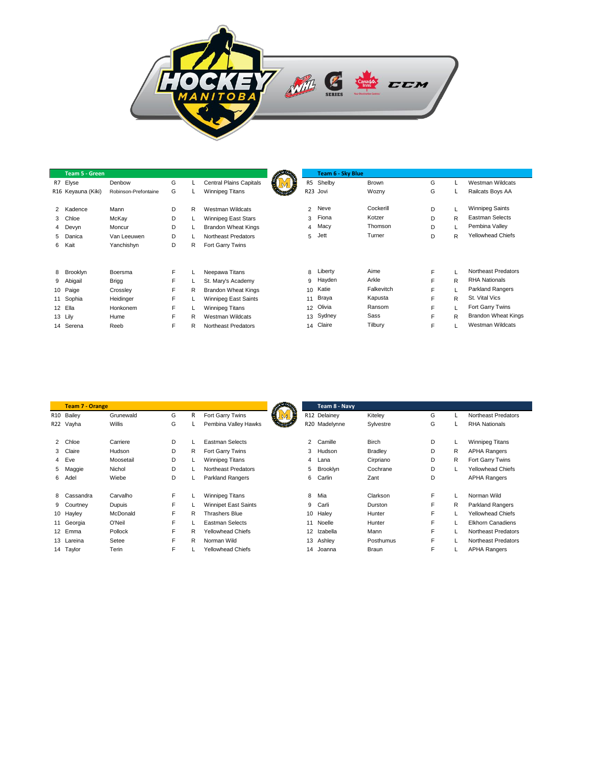

| <b>Team 5 - Green</b> |                      |   |   |                                |    | Team 6 - Sky Blue |              |   |   |                            |
|-----------------------|----------------------|---|---|--------------------------------|----|-------------------|--------------|---|---|----------------------------|
| R7 Elyse              | Denbow               | G |   | <b>Central Plains Capitals</b> |    | R5 Shelby         | <b>Brown</b> | G |   | Westman Wildcats           |
| R16 Keyauna (Kiki)    | Robinson-Prefontaine | G |   | Winnipeg Titans                |    | R23 Jovi          | Wozny        | G |   | Railcats Boys AA           |
| 2 Kadence             | Mann                 | D | R | Westman Wildcats               | 2  | Neve              | Cockerill    | D |   | <b>Winnipeg Saints</b>     |
| 3 Chloe               | McKay                | D |   | Winnipeg East Stars            | 3  | Fiona             | Kotzer       | D | R | Eastman Selects            |
| 4 Devyn               | Moncur               | D |   | <b>Brandon Wheat Kings</b>     | 4  | Macy              | Thomson      | D |   | Pembina Valley             |
| 5 Danica              | Van Leeuwen          | D |   | Northeast Predators            | 5  | Jett              | Turner       | D | R | <b>Yellowhead Chiefs</b>   |
| 6 Kait                | Yanchishyn           | D | R | Fort Garry Twins               |    |                   |              |   |   |                            |
|                       |                      |   |   |                                |    |                   |              |   |   |                            |
| 8 Brooklyn            | Boersma              | F |   | Neepawa Titans                 | 8  | Liberty           | Aime         | F |   | Northeast Predators        |
| 9 Abigail             | <b>Brigg</b>         | F |   | St. Mary's Academy             | 9  | Hayden            | Arkle        | F | R | <b>RHA Nationals</b>       |
| 10 Paige              | Crossley             | F | R | <b>Brandon Wheat Kings</b>     | 10 | Katie             | Falkevitch   | F |   | <b>Parkland Rangers</b>    |
| 11 Sophia             | Heidinger            | F |   | Winnipeg East Saints           | 11 | Braya             | Kapusta      | F | R | St. Vital Vics             |
| 12 Ella               | Honkonem             | F |   | <b>Winnipeg Titans</b>         | 12 | Olivia            | Ransom       | F |   | Fort Garry Twins           |
| 13 Lily               | Hume                 | F | R | Westman Wildcats               |    | 13 Sydney         | Sass         | F | R | <b>Brandon Wheat Kings</b> |
| 14 Serena             | Reeb                 | F | R | Northeast Predators            | 14 | Claire            | Tilbury      | F |   | Westman Wildcats           |

|                | <b>Team 7 - Orange</b> |               |    |   |                             |                | Team 8 - Navy |                |   |              |                          |
|----------------|------------------------|---------------|----|---|-----------------------------|----------------|---------------|----------------|---|--------------|--------------------------|
|                | R10 Bailey             | Grunewald     | G  | R | Fort Garry Twins            |                | R12 Delainey  | Kiteley        | G |              | Northeast Predators      |
|                | R22 Vayha              | <b>Willis</b> | G  |   | Pembina Valley Hawks        |                | R20 Madelynne | Sylvestre      | G |              | <b>RHA Nationals</b>     |
| $\overline{2}$ | Chloe                  | Carriere      | D  |   | <b>Eastman Selects</b>      | $\overline{2}$ | Camille       | <b>Birch</b>   | D | L            | <b>Winnipeg Titans</b>   |
| 3              | Claire                 | Hudson        | D  | R | Fort Garry Twins            | 3              | Hudson        | <b>Bradley</b> | D | $\mathsf{R}$ | <b>APHA Rangers</b>      |
| $\overline{4}$ | Eve                    | Moosetail     | D  |   | Winnipeg Titans             | 4              | Lana          | Cirpriano      | D | R            | Fort Garry Twins         |
| 5              | Maggie                 | Nichol        | D  |   | Northeast Predators         | 5              | Brooklyn      | Cochrane       | D | L            | <b>Yellowhead Chiefs</b> |
| 6              | Adel                   | Wiebe         | D  |   | Parkland Rangers            | 6              | Carlin        | Zant           | D |              | <b>APHA Rangers</b>      |
| 8              | Cassandra              | Carvalho      | F. |   | Winnipeg Titans             | 8              | Mia           | Clarkson       | F | L            | Norman Wild              |
| 9              | Courtney               | Dupuis        | F  |   | <b>Winnipet East Saints</b> | 9              | Carli         | Durston        | F | R            | <b>Parkland Rangers</b>  |
|                | 10 Hayley              | McDonald      | F  | R | <b>Thrashers Blue</b>       |                | 10 Haley      | Hunter         | F |              | <b>Yellowhead Chiefs</b> |
|                | 11 Georgia             | O'Neil        | F  |   | <b>Eastman Selects</b>      | 11             | Noelle        | Hunter         | F |              | <b>Elkhorn Canadiens</b> |
|                | 12 Emma                | Pollock       | F  | R | <b>Yellowhead Chiefs</b>    | 12             | Izabella      | Mann           | F | L            | Northeast Predators      |
|                | 13 Lareina             | Setee         | E  | R | Norman Wild                 |                | 13 Ashley     | Posthumus      | F |              | Northeast Predators      |
|                | 14 Taylor              | Terin         | F  |   | <b>Yellowhead Chiefs</b>    | 14             | Joanna        | Braun          | F |              | <b>APHA Rangers</b>      |